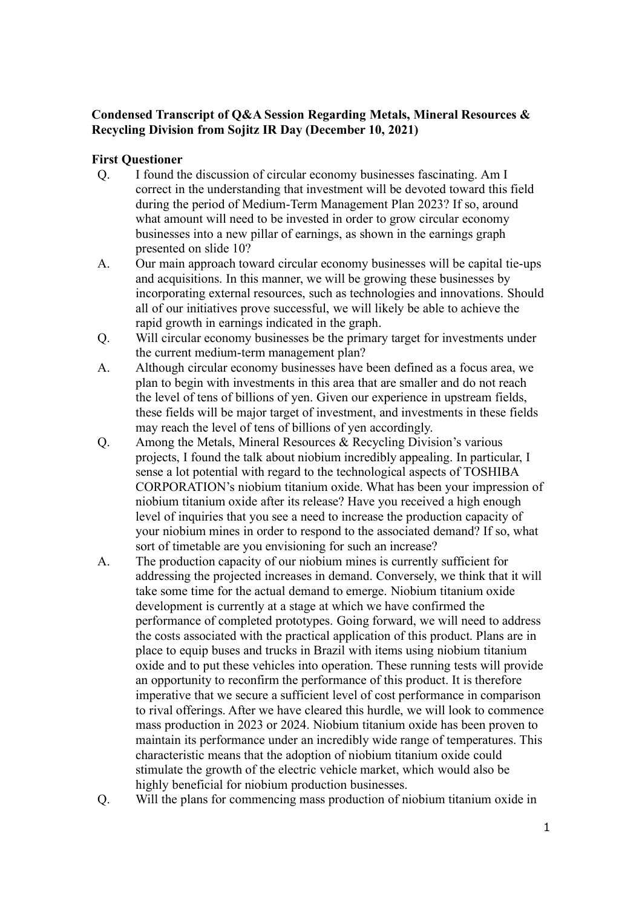## **Condensed Transcript of Q&A Session Regarding Metals, Mineral Resources & Recycling Division from Sojitz IR Day (December 10, 2021)**

## **First Questioner**

- Q. I found the discussion of circular economy businesses fascinating. Am I correct in the understanding that investment will be devoted toward this field during the period of Medium-Term Management Plan 2023? If so, around what amount will need to be invested in order to grow circular economy businesses into a new pillar of earnings, as shown in the earnings graph presented on slide 10?
- A. Our main approach toward circular economy businesses will be capital tie-ups and acquisitions. In this manner, we will be growing these businesses by incorporating external resources, such as technologies and innovations. Should all of our initiatives prove successful, we will likely be able to achieve the rapid growth in earnings indicated in the graph.
- Q. Will circular economy businesses be the primary target for investments under the current medium-term management plan?
- A. Although circular economy businesses have been defined as a focus area, we plan to begin with investments in this area that are smaller and do not reach the level of tens of billions of yen. Given our experience in upstream fields, these fields will be major target of investment, and investments in these fields may reach the level of tens of billions of yen accordingly.
- Q. Among the Metals, Mineral Resources & Recycling Division's various projects, I found the talk about niobium incredibly appealing. In particular, I sense a lot potential with regard to the technological aspects of TOSHIBA CORPORATION's niobium titanium oxide. What has been your impression of niobium titanium oxide after its release? Have you received a high enough level of inquiries that you see a need to increase the production capacity of your niobium mines in order to respond to the associated demand? If so, what sort of timetable are you envisioning for such an increase?
- A. The production capacity of our niobium mines is currently sufficient for addressing the projected increases in demand. Conversely, we think that it will take some time for the actual demand to emerge. Niobium titanium oxide development is currently at a stage at which we have confirmed the performance of completed prototypes. Going forward, we will need to address the costs associated with the practical application of this product. Plans are in place to equip buses and trucks in Brazil with items using niobium titanium oxide and to put these vehicles into operation. These running tests will provide an opportunity to reconfirm the performance of this product. It is therefore imperative that we secure a sufficient level of cost performance in comparison to rival offerings. After we have cleared this hurdle, we will look to commence mass production in 2023 or 2024. Niobium titanium oxide has been proven to maintain its performance under an incredibly wide range of temperatures. This characteristic means that the adoption of niobium titanium oxide could stimulate the growth of the electric vehicle market, which would also be highly beneficial for niobium production businesses.
- Q. Will the plans for commencing mass production of niobium titanium oxide in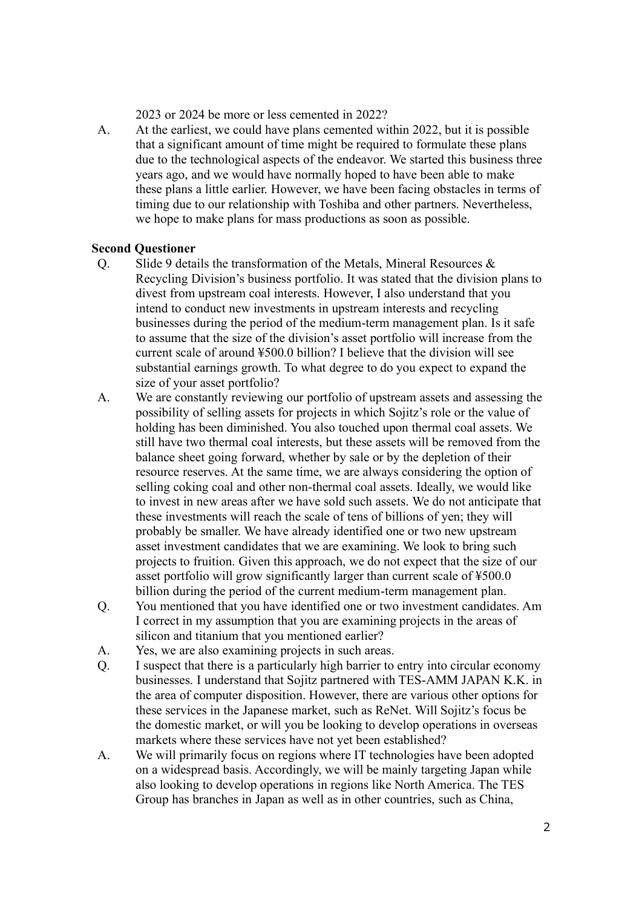2023 or 2024 be more or less cemented in 2022?

A. At the earliest, we could have plans cemented within 2022, but it is possible that a significant amount of time might be required to formulate these plans due to the technological aspects of the endeavor. We started this business three years ago, and we would have normally hoped to have been able to make these plans a little earlier. However, we have been facing obstacles in terms of timing due to our relationship with Toshiba and other partners. Nevertheless, we hope to make plans for mass productions as soon as possible.

## **Second Questioner**

- Q. Slide 9 details the transformation of the Metals, Mineral Resources  $\&$ Recycling Division's business portfolio. It was stated that the division plans to divest from upstream coal interests. However, I also understand that you intend to conduct new investments in upstream interests and recycling businesses during the period of the medium-term management plan. Is it safe to assume that the size of the division's asset portfolio will increase from the current scale of around ¥500.0 billion? I believe that the division will see substantial earnings growth. To what degree to do you expect to expand the size of your asset portfolio?
- A. We are constantly reviewing our portfolio of upstream assets and assessing the possibility of selling assets for projects in which Sojitz's role or the value of holding has been diminished. You also touched upon thermal coal assets. We still have two thermal coal interests, but these assets will be removed from the balance sheet going forward, whether by sale or by the depletion of their resource reserves. At the same time, we are always considering the option of selling coking coal and other non-thermal coal assets. Ideally, we would like to invest in new areas after we have sold such assets. We do not anticipate that these investments will reach the scale of tens of billions of yen; they will probably be smaller. We have already identified one or two new upstream asset investment candidates that we are examining. We look to bring such projects to fruition. Given this approach, we do not expect that the size of our asset portfolio will grow significantly larger than current scale of ¥500.0 billion during the period of the current medium-term management plan.
- Q. You mentioned that you have identified one or two investment candidates. Am I correct in my assumption that you are examining projects in the areas of silicon and titanium that you mentioned earlier?
- A. Yes, we are also examining projects in such areas.
- Q. I suspect that there is a particularly high barrier to entry into circular economy businesses. I understand that Sojitz partnered with TES-AMM JAPAN K.K. in the area of computer disposition. However, there are various other options for these services in the Japanese market, such as ReNet. Will Sojitz's focus be the domestic market, or will you be looking to develop operations in overseas markets where these services have not yet been established?
- A. We will primarily focus on regions where IT technologies have been adopted on a widespread basis. Accordingly, we will be mainly targeting Japan while also looking to develop operations in regions like North America. The TES Group has branches in Japan as well as in other countries, such as China,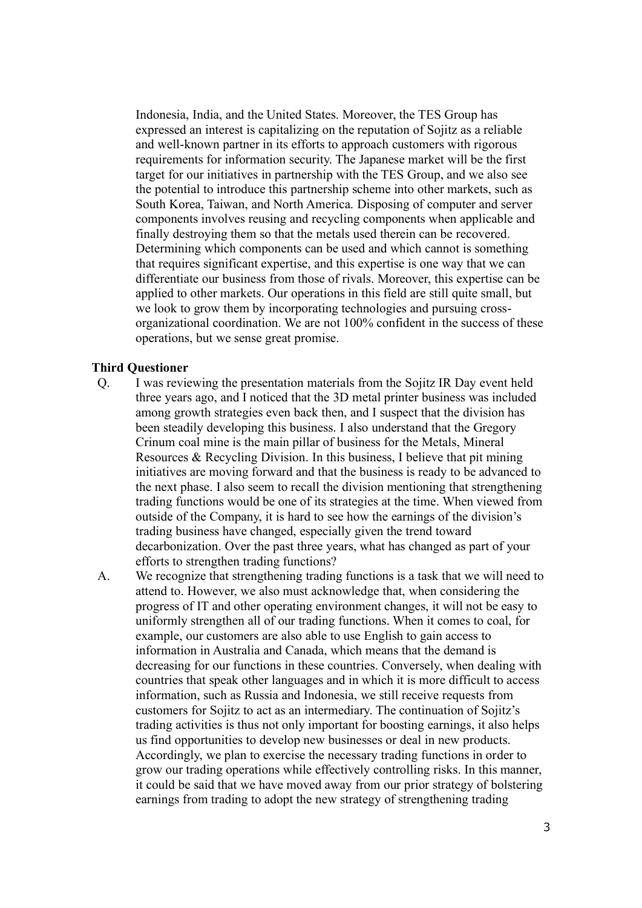Indonesia, India, and the United States. Moreover, the TES Group has expressed an interest is capitalizing on the reputation of Sojitz as a reliable and well-known partner in its efforts to approach customers with rigorous requirements for information security. The Japanese market will be the first target for our initiatives in partnership with the TES Group, and we also see the potential to introduce this partnership scheme into other markets, such as South Korea, Taiwan, and North America. Disposing of computer and server components involves reusing and recycling components when applicable and finally destroying them so that the metals used therein can be recovered. Determining which components can be used and which cannot is something that requires significant expertise, and this expertise is one way that we can differentiate our business from those of rivals. Moreover, this expertise can be applied to other markets. Our operations in this field are still quite small, but we look to grow them by incorporating technologies and pursuing crossorganizational coordination. We are not 100% confident in the success of these operations, but we sense great promise.

## **Third Questioner**

- Q. I was reviewing the presentation materials from the Sojitz IR Day event held three years ago, and I noticed that the 3D metal printer business was included among growth strategies even back then, and I suspect that the division has been steadily developing this business. I also understand that the Gregory Crinum coal mine is the main pillar of business for the Metals, Mineral Resources & Recycling Division. In this business, I believe that pit mining initiatives are moving forward and that the business is ready to be advanced to the next phase. I also seem to recall the division mentioning that strengthening trading functions would be one of its strategies at the time. When viewed from outside of the Company, it is hard to see how the earnings of the division's trading business have changed, especially given the trend toward decarbonization. Over the past three years, what has changed as part of your efforts to strengthen trading functions?
- A. We recognize that strengthening trading functions is a task that we will need to attend to. However, we also must acknowledge that, when considering the progress of IT and other operating environment changes, it will not be easy to uniformly strengthen all of our trading functions. When it comes to coal, for example, our customers are also able to use English to gain access to information in Australia and Canada, which means that the demand is decreasing for our functions in these countries. Conversely, when dealing with countries that speak other languages and in which it is more difficult to access information, such as Russia and Indonesia, we still receive requests from customers for Sojitz to act as an intermediary. The continuation of Sojitz's trading activities is thus not only important for boosting earnings, it also helps us find opportunities to develop new businesses or deal in new products. Accordingly, we plan to exercise the necessary trading functions in order to grow our trading operations while effectively controlling risks. In this manner, it could be said that we have moved away from our prior strategy of bolstering earnings from trading to adopt the new strategy of strengthening trading